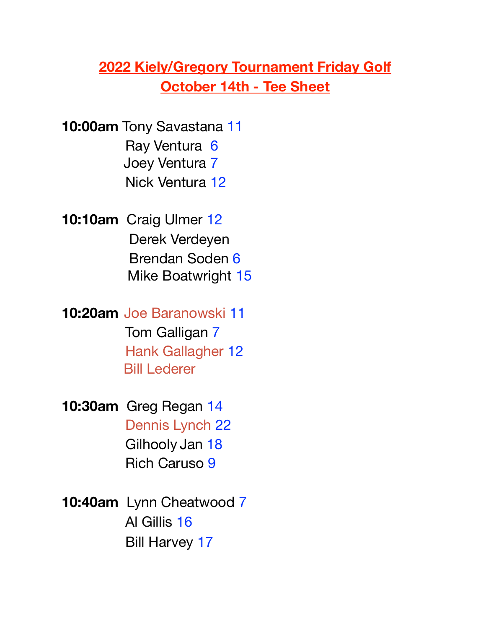## **2022 Kiely/Gregory Tournament Friday Golf October 14th - Tee Sheet**

**10:00am** Tony Savastana 11 Ray Ventura 6 Joey Ventura 7 Nick Ventura 12

**10:10am** Craig Ulmer 12 Derek Verdeyen Brendan Soden 6 Mike Boatwright 15

**10:20am** Joe Baranowski 11 Tom Galligan 7 Hank Gallagher 12 Bill Lederer

**10:30am** Greg Regan 14 Dennis Lynch 22 Gilhooly Jan 18 Rich Caruso 9

**10:40am** Lynn Cheatwood 7 Al Gillis 16 Bill Harvey 17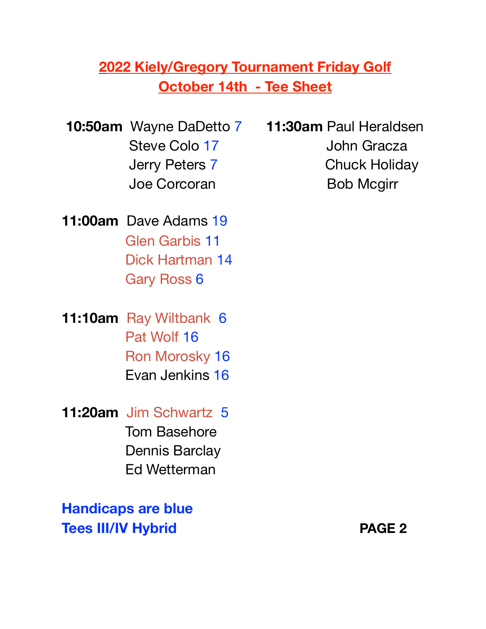## **2022 Kiely/Gregory Tournament Friday Golf October 14th - Tee Sheet**

**11:00am** Dave Adams 19 Glen Garbis 11 Dick Hartman 14 Gary Ross 6

**11:10am** Ray Wiltbank 6 Pat Wolf 16 Ron Morosky 16 Evan Jenkins 16

**11:20am** Jim Schwartz 5 Tom Basehore Dennis Barclay Ed Wetterman

**Handicaps are blue Tees III/IV Hybrid PAGE 2** 

**10:50am** Wayne DaDetto 7 **11:30am** Paul Heraldsen Steve Colo 17 John Gracza Jerry Peters 7 Chuck Holiday Joe Corcoran Bob Mcgirr